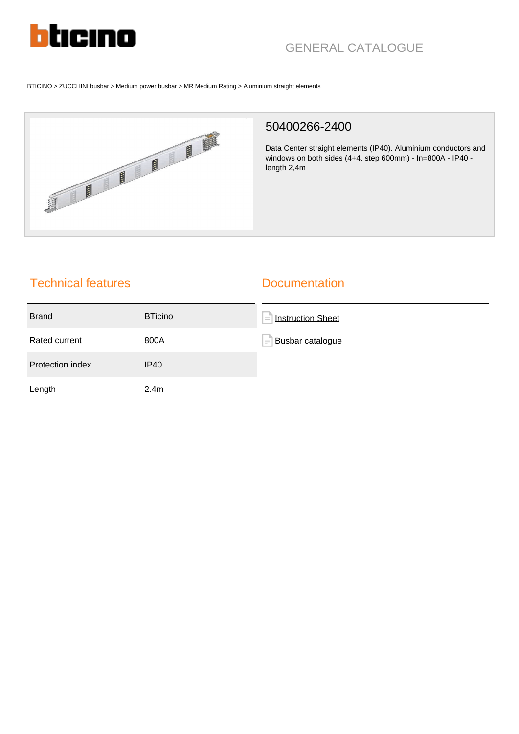

# GENERAL CATALOGUE

BTICINO > ZUCCHINI busbar > Medium power busbar > MR Medium Rating > Aluminium straight elements



#### 50400266-2400

Data Center straight elements (IP40). Aluminium conductors and windows on both sides (4+4, step 600mm) - In=800A - IP40 length 2,4m

# Technical features

#### **Documentation**

| <b>Brand</b>            | <b>BTicino</b>   | ÷<br><b>Instruction Sheet</b> |
|-------------------------|------------------|-------------------------------|
| Rated current           | 800A             | F<br>Busbar catalogue         |
| <b>Protection index</b> | IP40             |                               |
| Length                  | 2.4 <sub>m</sub> |                               |